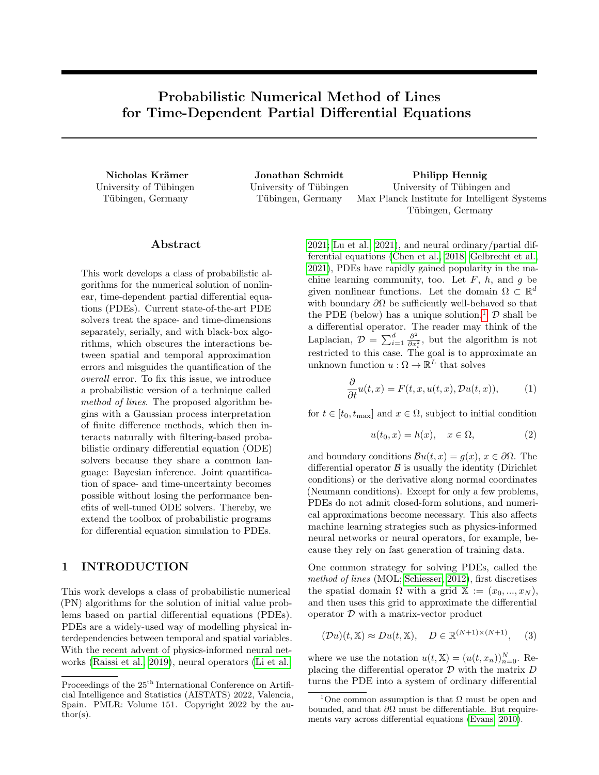# Probabilistic Numerical Method of Lines for Time-Dependent Partial Differential Equations

University of Tübingen Tübingen, Germany

University of Tübingen Tübingen, Germany

Nicholas Krämer 1988 – Jonathan Schmidt Philipp Hennig University of Tübingen and Max Planck Institute for Intelligent Systems Tübingen, Germany

### ${\rm Abstract}$

This work develops a class of probabilistic algorithms for the numerical solution of nonlinear, time-dependent partial differential equations (PDEs). Current state-of-the-art PDE solvers treat the space- and time-dimensions separately, serially, and with black-box algorithms, which obscures the interactions between spatial and temporal approximation errors and misguides the quantification of the overall error. To fix this issue, we introduce a probabilistic version of a technique called method of lines. The proposed algorithm begins with a Gaussian process interpretation of finite difference methods, which then interacts naturally with filtering-based probabilistic ordinary differential equation (ODE) solvers because they share a common language: Bayesian inference. Joint quantification of space- and time-uncertainty becomes possible without losing the performance benefits of well-tuned ODE solvers. Thereby, we extend the toolbox of probabilistic programs for differential equation simulation to PDEs.

# 1 INTRODUCTION

This work develops a class of probabilistic numerical (PN) algorithms for the solution of initial value problems based on partial differential equations (PDEs). PDEs are a widely-used way of modelling physical interdependencies between temporal and spatial variables. With the recent advent of physics-informed neural networks [\(Raissi et al., 2019\)](#page-9-0), neural operators [\(Li et al.,](#page-9-1)

[2021;](#page-9-1) [Lu et al., 2021\)](#page-9-2), and neural ordinary/partial differential equations [\(Chen et al., 2018;](#page-8-0) [Gelbrecht et al.,](#page-9-3) [2021\)](#page-9-3), PDEs have rapidly gained popularity in the machine learning community, too. Let  $F$ ,  $h$ , and  $g$  be given nonlinear functions. Let the domain  $\Omega \subset \mathbb{R}^d$ with boundary  $\partial\Omega$  be sufficiently well-behaved so that the PDE (below) has a unique solution.<sup>[1](#page-0-0)</sup>  $\mathcal D$  shall be a differential operator. The reader may think of the Laplacian,  $\mathcal{D} = \sum_{i=1}^{d} \frac{\partial^2}{\partial x^2}$  $\frac{\partial^2}{\partial x_i^2}$ , but the algorithm is not restricted to this case. The goal is to approximate an unknown function  $u : \Omega \to \mathbb{R}^L$  that solves

$$
\frac{\partial}{\partial t}u(t,x) = F(t,x,u(t,x),\mathcal{D}u(t,x)),\tag{1}
$$

for  $t \in [t_0, t_{\text{max}}]$  and  $x \in \Omega$ , subject to initial condition

<span id="page-0-1"></span>
$$
u(t_0, x) = h(x), \quad x \in \Omega,
$$
\n<sup>(2)</sup>

and boundary conditions  $\mathcal{B}u(t,x) = g(x), x \in \partial\Omega$ . The differential operator  $\beta$  is usually the identity (Dirichlet conditions) or the derivative along normal coordinates (Neumann conditions). Except for only a few problems, PDEs do not admit closed-form solutions, and numerical approximations become necessary. This also affects machine learning strategies such as physics-informed neural networks or neural operators, for example, because they rely on fast generation of training data.

One common strategy for solving PDEs, called the method of lines (MOL; [Schiesser, 2012\)](#page-10-0), first discretises the spatial domain  $\Omega$  with a grid  $\mathbb{X} := (x_0, ..., x_N)$ , and then uses this grid to approximate the differential operator  $D$  with a matrix-vector product

<span id="page-0-2"></span>
$$
(\mathcal{D}u)(t,\mathbb{X}) \approx Du(t,\mathbb{X}), \quad D \in \mathbb{R}^{(N+1)\times(N+1)}, \quad (3)
$$

where we use the notation  $u(t, \mathbb{X}) = (u(t, x_n))_{n=0}^N$ . Replacing the differential operator  $D$  with the matrix  $D$ turns the PDE into a system of ordinary differential

Proceedings of the  $25^{\text{th}}$  International Conference on Artificial Intelligence and Statistics (AISTATS) 2022, Valencia, Spain. PMLR: Volume 151. Copyright 2022 by the au- $\text{thor}(s)$ .

<span id="page-0-0"></span><sup>&</sup>lt;sup>1</sup>One common assumption is that  $\Omega$  must be open and bounded, and that  $\partial\Omega$  must be differentiable. But requirements vary across differential equations [\(Evans, 2010\)](#page-9-4).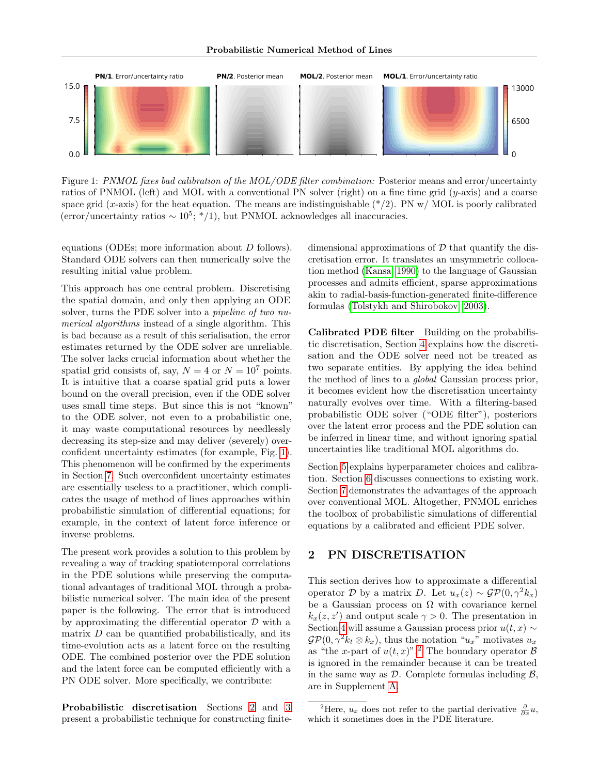

<span id="page-1-0"></span>Figure 1: PNMOL fixes bad calibration of the MOL/ODE filter combination: Posterior means and error/uncertainty ratios of PNMOL (left) and MOL with a conventional PN solver (right) on a fine time grid (y-axis) and a coarse space grid (x-axis) for the heat equation. The means are indistinguishable  $(*/2)$ . PN w/ MOL is poorly calibrated  $\frac{\text{error}}{\text{uncertainty ratios}} \sim 10^5$ ; \*/1, but PNMOL acknowledges all inaccuracies.

equations (ODEs; more information about D follows). Standard ODE solvers can then numerically solve the resulting initial value problem.

This approach has one central problem. Discretising the spatial domain, and only then applying an ODE solver, turns the PDE solver into a *pipeline of two nu*merical algorithms instead of a single algorithm. This is bad because as a result of this serialisation, the error estimates returned by the ODE solver are unreliable. The solver lacks crucial information about whether the spatial grid consists of, say,  $N = 4$  or  $N = 10<sup>7</sup>$  points. It is intuitive that a coarse spatial grid puts a lower bound on the overall precision, even if the ODE solver uses small time steps. But since this is not "known" to the ODE solver, not even to a probabilistic one, it may waste computational resources by needlessly decreasing its step-size and may deliver (severely) overconfident uncertainty estimates (for example, Fig. [1\)](#page-1-0). This phenomenon will be confirmed by the experiments in Section [7.](#page-6-0) Such overconfident uncertainty estimates are essentially useless to a practitioner, which complicates the usage of method of lines approaches within probabilistic simulation of differential equations; for example, in the context of latent force inference or inverse problems.

The present work provides a solution to this problem by revealing a way of tracking spatiotemporal correlations in the PDE solutions while preserving the computational advantages of traditional MOL through a probabilistic numerical solver. The main idea of the present paper is the following. The error that is introduced by approximating the differential operator D with a matrix  $D$  can be quantified probabilistically, and its time-evolution acts as a latent force on the resulting ODE. The combined posterior over the PDE solution and the latent force can be computed efficiently with a PN ODE solver. More specifically, we contribute:

Probabilistic discretisation Sections [2](#page-1-1) and [3](#page-2-0) present a probabilistic technique for constructing finitedimensional approximations of  $\mathcal D$  that quantify the discretisation error. It translates an unsymmetric collocation method [\(Kansa, 1990\)](#page-9-5) to the language of Gaussian processes and admits efficient, sparse approximations akin to radial-basis-function-generated finite-difference formulas [\(Tolstykh and Shirobokov, 2003\)](#page-10-1).

Calibrated PDE filter Building on the probabilistic discretisation, Section [4](#page-3-0) explains how the discretisation and the ODE solver need not be treated as two separate entities. By applying the idea behind the method of lines to a global Gaussian process prior, it becomes evident how the discretisation uncertainty naturally evolves over time. With a filtering-based probabilistic ODE solver ("ODE filter"), posteriors over the latent error process and the PDE solution can be inferred in linear time, and without ignoring spatial uncertainties like traditional MOL algorithms do.

Section [5](#page-6-1) explains hyperparameter choices and calibration. Section [6](#page-6-2) discusses connections to existing work. Section [7](#page-6-0) demonstrates the advantages of the approach over conventional MOL. Altogether, PNMOL enriches the toolbox of probabilistic simulations of differential equations by a calibrated and efficient PDE solver.

# <span id="page-1-1"></span>2 PN DISCRETISATION

This section derives how to approximate a differential operator D by a matrix D. Let  $u_x(z) \sim \mathcal{GP}(0, \gamma^2 k_x)$ be a Gaussian process on  $\Omega$  with covariance kernel  $k_x(z, z')$  and output scale  $\gamma > 0$ . The presentation in Section [4](#page-3-0) will assume a Gaussian process prior  $u(t, x) \sim$  $\mathcal{GP}(0, \gamma^2 k_t \otimes k_x)$ , thus the notation " $u_x$ " motivates  $u_x$ as "the x-part of  $u(t, x)$ ".<sup>[2](#page-1-2)</sup> The boundary operator  $\beta$ is ignored in the remainder because it can be treated in the same way as  $\mathcal{D}$ . Complete formulas including  $\mathcal{B}$ , are in Supplement [A.](#page-11-0)

<span id="page-1-2"></span><sup>&</sup>lt;sup>2</sup>Here,  $u_x$  does not refer to the partial derivative  $\frac{\partial}{\partial x}u$ , which it sometimes does in the PDE literature.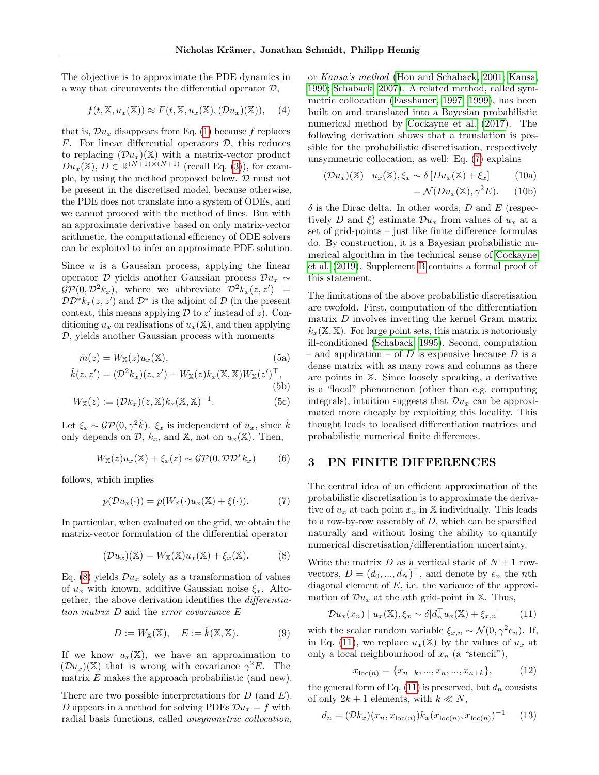The objective is to approximate the PDE dynamics in a way that circumvents the differential operator  $\mathcal{D}$ ,

$$
f(t, \mathbb{X}, u_x(\mathbb{X})) \approx F(t, \mathbb{X}, u_x(\mathbb{X}), (\mathcal{D}u_x)(\mathbb{X})), \quad (4)
$$

that is,  $\mathcal{D}u_x$  disappears from Eq. [\(1\)](#page-0-1) because f replaces  $F$ . For linear differential operators  $D$ , this reduces to replacing  $(\mathcal{D}u_r)(\mathbb{X})$  with a matrix-vector product  $Du_x(\mathbb{X}), D \in \mathbb{R}^{(N+1)\times(N+1)}$  (recall Eq. [\(3\)](#page-0-2)), for example, by using the method proposed below.  $D$  must not be present in the discretised model, because otherwise, the PDE does not translate into a system of ODEs, and we cannot proceed with the method of lines. But with an approximate derivative based on only matrix-vector arithmetic, the computational efficiency of ODE solvers can be exploited to infer an approximate PDE solution.

Since  $u$  is a Gaussian process, applying the linear operator D yields another Gaussian process  $\mathcal{D}u_x \sim$  $\mathcal{GP}(0, \mathcal{D}^2 k_x),$  where we abbreviate  $\mathcal{D}^2 k_x(z, z') =$  $\mathcal{DD}^* k_x(z, z')$  and  $\mathcal{D}^*$  is the adjoint of  $\mathcal D$  (in the present context, this means applying  $\mathcal D$  to  $z'$  instead of  $z$ ). Conditioning  $u_x$  on realisations of  $u_x(\mathbb{X})$ , and then applying  $D$ , yields another Gaussian process with moments

$$
\hat{m}(z) = W_{\mathbb{X}}(z)u_x(\mathbb{X}),\tag{5a}
$$

$$
\hat{k}(z, z') = (\mathcal{D}^2 k_x)(z, z') - W_{\mathbb{X}}(z) k_x(\mathbb{X}, \mathbb{X}) W_{\mathbb{X}}(z')^\top,
$$
\n(5b)

$$
W_{\mathbb{X}}(z) := (\mathcal{D}k_x)(z, \mathbb{X})k_x(\mathbb{X}, \mathbb{X})^{-1}.
$$
 (5c)

Let  $\xi_x \sim \mathcal{GP}(0, \gamma^2 \hat{k})$ .  $\xi_x$  is independent of  $u_x$ , since  $\hat{k}$ only depends on  $\mathcal{D}, k_x$ , and  $\mathbb{X}$ , not on  $u_x(\mathbb{X})$ . Then,

$$
W_{\mathbb{X}}(z)u_x(\mathbb{X}) + \xi_x(z) \sim \mathcal{GP}(0, \mathcal{DD}^*k_x)
$$
 (6)

follows, which implies

$$
p(\mathcal{D}u_x(\cdot)) = p(W_{\mathbb{X}}(\cdot)u_x(\mathbb{X}) + \xi(\cdot)). \tag{7}
$$

In particular, when evaluated on the grid, we obtain the matrix-vector formulation of the differential operator

<span id="page-2-1"></span>
$$
(\mathcal{D}u_x)(\mathbb{X}) = W_{\mathbb{X}}(\mathbb{X})u_x(\mathbb{X}) + \xi_x(\mathbb{X}). \tag{8}
$$

Eq. [\(8\)](#page-2-1) yields  $\mathcal{D}u_x$  solely as a transformation of values of  $u_x$  with known, additive Gaussian noise  $\xi_x$ . Altogether, the above derivation identifies the differentiation matrix D and the error covariance E

$$
D := W_{\mathbb{X}}(\mathbb{X}), \quad E := \hat{k}(\mathbb{X}, \mathbb{X}). \tag{9}
$$

If we know  $u_x(\mathbb{X})$ , we have an approximation to  $(\mathcal{D}u_x)(\mathbb{X})$  that is wrong with covariance  $\gamma^2 E$ . The matrix  $E$  makes the approach probabilistic (and new).

There are two possible interpretations for  $D$  (and  $E$ ). D appears in a method for solving PDEs  $\mathcal{D}u_x = f$  with radial basis functions, called unsymmetric collocation,

or Kansa's method [\(Hon and Schaback, 2001;](#page-9-6) [Kansa,](#page-9-5) [1990;](#page-9-5) [Schaback, 2007\)](#page-10-2). A related method, called symmetric collocation [\(Fasshauer, 1997,](#page-9-7) [1999\)](#page-9-8), has been built on and translated into a Bayesian probabilistic numerical method by [Cockayne et al.](#page-8-1) [\(2017\)](#page-8-1). The following derivation shows that a translation is possible for the probabilistic discretisation, respectively unsymmetric collocation, as well: Eq. [\(7\)](#page-2-2) explains

$$
(\mathcal{D}u_x)(\mathbb{X}) \mid u_x(\mathbb{X}), \xi_x \sim \delta \left[ Du_x(\mathbb{X}) + \xi_x \right] \tag{10a}
$$

$$
= \mathcal{N}(Du_x(\mathbb{X}), \gamma^2 E). \qquad (10b)
$$

 $\delta$  is the Dirac delta. In other words, D and E (respectively D and  $\xi$ ) estimate  $\mathcal{D}u_x$  from values of  $u_x$  at a set of grid-points – just like finite difference formulas do. By construction, it is a Bayesian probabilistic numerical algorithm in the technical sense of [Cockayne](#page-8-2) [et al.](#page-8-2) [\(2019\)](#page-8-2). Supplement [B](#page-12-0) contains a formal proof of this statement.

<span id="page-2-6"></span>The limitations of the above probabilistic discretisation are twofold. First, computation of the differentiation matrix D involves inverting the kernel Gram matrix  $k_x(\mathbb{X}, \mathbb{X})$ . For large point sets, this matrix is notoriously ill-conditioned [\(Schaback, 1995\)](#page-10-3). Second, computation – and application – of  $D$  is expensive because  $D$  is a dense matrix with as many rows and columns as there are points in X. Since loosely speaking, a derivative is a "local" phenomenon (other than e.g. computing integrals), intuition suggests that  $\mathcal{D}u_x$  can be approximated more cheaply by exploiting this locality. This thought leads to localised differentiation matrices and probabilistic numerical finite differences.

## <span id="page-2-0"></span>3 PN FINITE DIFFERENCES

<span id="page-2-2"></span>The central idea of an efficient approximation of the probabilistic discretisation is to approximate the derivative of  $u_x$  at each point  $x_n$  in X individually. This leads to a row-by-row assembly of  $D$ , which can be sparsified naturally and without losing the ability to quantify numerical discretisation/differentiation uncertainty.

Write the matrix D as a vertical stack of  $N+1$  rowvectors,  $D = (d_0, ..., d_N)^\top$ , and denote by  $e_n$  the nth diagonal element of  $E$ , i.e. the variance of the approximation of  $\mathcal{D}u_x$  at the *n*th grid-point in X. Thus,

$$
\mathcal{D}u_x(x_n) \mid u_x(\mathbb{X}), \xi_x \sim \delta[d_n^\top u_x(\mathbb{X}) + \xi_{x,n}] \tag{11}
$$

<span id="page-2-4"></span>with the scalar random variable  $\xi_{x,n} \sim \mathcal{N}(0, \gamma^2 e_n)$ . If, in Eq. [\(11\)](#page-2-3), we replace  $u_x(\mathbb{X})$  by the values of  $u_x$  at only a local neighbourhood of  $x_n$  (a "stencil"),

<span id="page-2-5"></span><span id="page-2-3"></span>
$$
x_{\text{loc}(n)} = \{x_{n-k}, \dots, x_n, \dots, x_{n+k}\},\tag{12}
$$

the general form of Eq. [\(11\)](#page-2-3) is preserved, but  $d_n$  consists of only  $2k + 1$  elements, with  $k \ll N$ ,

$$
d_n = (\mathcal{D}k_x)(x_n, x_{\text{loc}(n)}) k_x(x_{\text{loc}(n)}, x_{\text{loc}(n)})^{-1}
$$
 (13)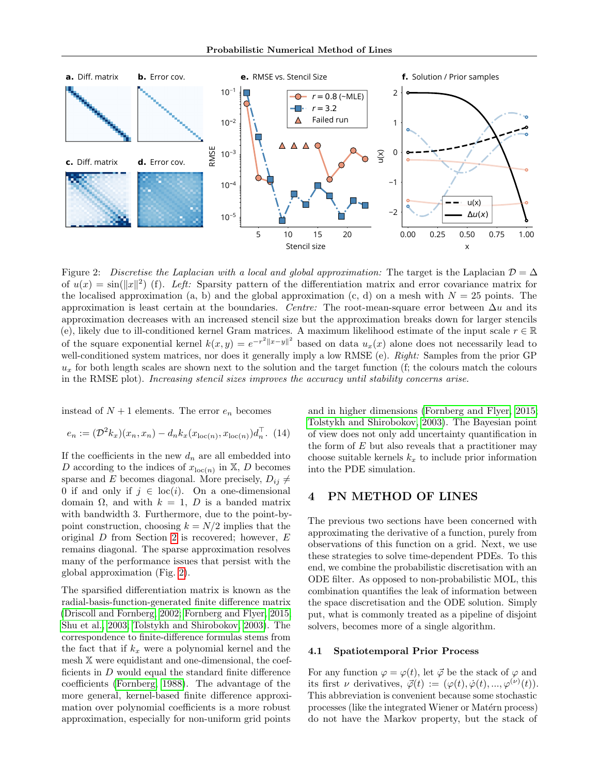

<span id="page-3-1"></span>Figure 2: Discretise the Laplacian with a local and global approximation: The target is the Laplacian  $\mathcal{D} = \Delta$ of  $u(x) = \sin(\|x\|^2)$  (f). Left: Sparsity pattern of the differentiation matrix and error covariance matrix for the localised approximation (a, b) and the global approximation (c, d) on a mesh with  $N = 25$  points. The approximation is least certain at the boundaries. Centre: The root-mean-square error between  $\Delta u$  and its approximation decreases with an increased stencil size but the approximation breaks down for larger stencils (e), likely due to ill-conditioned kernel Gram matrices. A maximum likelihood estimate of the input scale  $r \in \mathbb{R}$ of the square exponential kernel  $k(x, y) = e^{-r^2 ||x-y||^2}$  based on data  $u_x(x)$  alone does not necessarily lead to well-conditioned system matrices, nor does it generally imply a low RMSE (e). Right: Samples from the prior GP  $u_x$  for both length scales are shown next to the solution and the target function (f; the colours match the colours in the RMSE plot). Increasing stencil sizes improves the accuracy until stability concerns arise.

instead of  $N+1$  elements. The error  $e_n$  becomes

$$
e_n := (\mathcal{D}^2 k_x)(x_n, x_n) - d_n k_x(x_{\text{loc}(n)}, x_{\text{loc}(n)}) d_n^{\top}.
$$
 (14)

If the coefficients in the new  $d_n$  are all embedded into D according to the indices of  $x_{\text{loc}(n)}$  in  $X, D$  becomes sparse and E becomes diagonal. More precisely,  $D_{ij} \neq$ 0 if and only if  $j \in \text{loc}(i)$ . On a one-dimensional domain  $\Omega$ , and with  $k = 1$ , D is a banded matrix with bandwidth 3. Furthermore, due to the point-bypoint construction, choosing  $k = N/2$  implies that the original  $D$  from Section [2](#page-1-1) is recovered; however,  $E$ remains diagonal. The sparse approximation resolves many of the performance issues that persist with the global approximation (Fig. [2\)](#page-3-1).

The sparsified differentiation matrix is known as the radial-basis-function-generated finite difference matrix [\(Driscoll and Fornberg, 2002;](#page-8-3) [Fornberg and Flyer, 2015;](#page-9-9) [Shu et al., 2003;](#page-10-4) [Tolstykh and Shirobokov, 2003\)](#page-10-1). The correspondence to finite-difference formulas stems from the fact that if  $k_x$  were a polynomial kernel and the mesh X were equidistant and one-dimensional, the coefficients in  $D$  would equal the standard finite difference coefficients [\(Fornberg, 1988\)](#page-9-10). The advantage of the more general, kernel-based finite difference approximation over polynomial coefficients is a more robust approximation, especially for non-uniform grid points <span id="page-3-2"></span>and in higher dimensions [\(Fornberg and Flyer, 2015;](#page-9-9) [Tolstykh and Shirobokov, 2003\)](#page-10-1). The Bayesian point of view does not only add uncertainty quantification in the form of  $E$  but also reveals that a practitioner may choose suitable kernels  $k_x$  to include prior information into the PDE simulation.

# <span id="page-3-0"></span>4 PN METHOD OF LINES

The previous two sections have been concerned with approximating the derivative of a function, purely from observations of this function on a grid. Next, we use these strategies to solve time-dependent PDEs. To this end, we combine the probabilistic discretisation with an ODE filter. As opposed to non-probabilistic MOL, this combination quantifies the leak of information between the space discretisation and the ODE solution. Simply put, what is commonly treated as a pipeline of disjoint solvers, becomes more of a single algorithm.

#### 4.1 Spatiotemporal Prior Process

For any function  $\varphi = \varphi(t)$ , let  $\vec{\varphi}$  be the stack of  $\varphi$  and its first  $\nu$  derivatives,  $\vec{\varphi}(t) := (\varphi(t), \dot{\varphi}(t), ..., \varphi^{(\nu)}(t)).$ This abbreviation is convenient because some stochastic processes (like the integrated Wiener or Matérn process) do not have the Markov property, but the stack of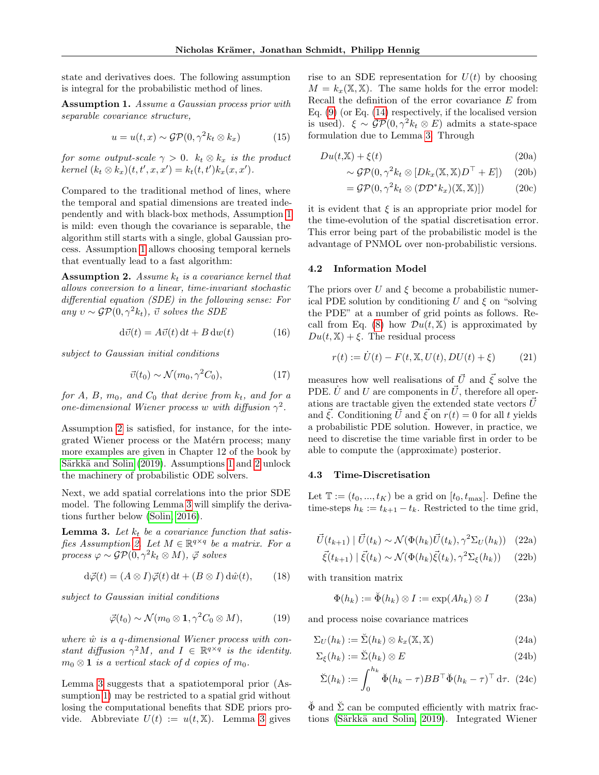state and derivatives does. The following assumption is integral for the probabilistic method of lines.

<span id="page-4-0"></span>Assumption 1. Assume a Gaussian process prior with separable covariance structure,

$$
u = u(t, x) \sim \mathcal{GP}(0, \gamma^2 k_t \otimes k_x)
$$
 (15)

for some output-scale  $\gamma > 0$ .  $k_t \otimes k_x$  is the product  $kernel (k_t \otimes k_x)(t, t', x, x') = k_t(t, t')k_x(x, x').$ 

Compared to the traditional method of lines, where the temporal and spatial dimensions are treated independently and with black-box methods, Assumption [1](#page-4-0) is mild: even though the covariance is separable, the algorithm still starts with a single, global Gaussian process. Assumption [1](#page-4-0) allows choosing temporal kernels that eventually lead to a fast algorithm:

<span id="page-4-1"></span>**Assumption 2.** Assume  $k_t$  is a covariance kernel that allows conversion to a linear, time-invariant stochastic differential equation (SDE) in the following sense: For any  $v \sim \mathcal{GP}(0, \gamma^2 k_t), \, \vec{v}$  solves the SDE

$$
d\vec{v}(t) = A\vec{v}(t) dt + B dw(t)
$$
 (16)

subject to Gaussian initial conditions

$$
\vec{v}(t_0) \sim \mathcal{N}(m_0, \gamma^2 C_0),\tag{17}
$$

for A, B,  $m_0$ , and  $C_0$  that derive from  $k_t$ , and for a one-dimensional Wiener process w with diffusion  $\gamma^2$ .

Assumption [2](#page-4-1) is satisfied, for instance, for the integrated Wiener process or the Matérn process; many more examples are given in Chapter 12 of the book by Särkkä and Solin [\(2019\)](#page-10-5). Assumptions [1](#page-4-0) and [2](#page-4-1) unlock the machinery of probabilistic ODE solvers.

Next, we add spatial correlations into the prior SDE model. The following Lemma [3](#page-4-2) will simplify the derivations further below [\(Solin, 2016\)](#page-10-6).

<span id="page-4-2"></span>**Lemma 3.** Let  $k_t$  be a covariance function that satis-fies Assumption [2.](#page-4-1) Let  $M \in \mathbb{R}^{q \times q}$  be a matrix. For a process  $\varphi \sim \mathcal{GP}(0, \gamma^2 k_t \otimes M)$ ,  $\vec{\varphi}$  solves

$$
d\vec{\varphi}(t) = (A \otimes I)\vec{\varphi}(t) dt + (B \otimes I) d\hat{w}(t), \qquad (18)
$$

subject to Gaussian initial conditions

$$
\vec{\varphi}(t_0) \sim \mathcal{N}(m_0 \otimes \mathbf{1}, \gamma^2 C_0 \otimes M), \tag{19}
$$

where  $\hat{w}$  is a q-dimensional Wiener process with constant diffusion  $\gamma^2 M$ , and  $I \in \mathbb{R}^{q \times q}$  is the identity.  $m_0 \otimes \mathbf{1}$  is a vertical stack of d copies of  $m_0$ .

Lemma [3](#page-4-2) suggests that a spatiotemporal prior (Assumption [1\)](#page-4-0) may be restricted to a spatial grid without losing the computational benefits that SDE priors provide. Abbreviate  $U(t) := u(t, \mathbb{X})$ . Lemma [3](#page-4-2) gives rise to an SDE representation for  $U(t)$  by choosing  $M = k_x(\mathbb{X}, \mathbb{X})$ . The same holds for the error model: Recall the definition of the error covariance E from Eq. [\(9\)](#page-2-4) (or Eq. [\(14\)](#page-3-2) respectively, if the localised version is used).  $\xi \sim \mathcal{GP}(0, \gamma^2 k_t \otimes E)$  admits a state-space formulation due to Lemma [3.](#page-4-2) Through

$$
Du(t, \mathbb{X}) + \xi(t) \tag{20a}
$$

$$
\sim \mathcal{GP}(0, \gamma^2 k_t \otimes [D k_x(\mathbb{X}, \mathbb{X}) D^\top + E]) \quad (20b)
$$

$$
= \mathcal{GP}(0, \gamma^2 k_t \otimes (\mathcal{DD}^* k_x)(\mathbb{X}, \mathbb{X})) \tag{20c}
$$

it is evident that  $\xi$  is an appropriate prior model for the time-evolution of the spatial discretisation error. This error being part of the probabilistic model is the advantage of PNMOL over non-probabilistic versions.

#### 4.2 Information Model

The priors over U and  $\xi$  become a probabilistic numerical PDE solution by conditioning U and  $\xi$  on "solving" the PDE" at a number of grid points as follows. Re-call from Eq. [\(8\)](#page-2-1) how  $\mathcal{D}u(t,\mathbb{X})$  is approximated by  $Du(t, \mathbb{X}) + \xi$ . The residual process

$$
r(t) := \dot{U}(t) - F(t, \mathbb{X}, U(t), DU(t) + \xi)
$$
 (21)

measures how well realisations of  $\vec{U}$  and  $\vec{\xi}$  solve the PDE.  $\dot{U}$  and U are components in  $\vec{U}$ , therefore all operations are tractable given the extended state vectors  $\vec{U}$ and  $\vec{\xi}$ . Conditioning  $\vec{U}$  and  $\vec{\xi}$  on  $r(t) = 0$  for all t yields a probabilistic PDE solution. However, in practice, we need to discretise the time variable first in order to be able to compute the (approximate) posterior.

#### 4.3 Time-Discretisation

<span id="page-4-3"></span>Let  $\mathbb{T} := (t_0, ..., t_K)$  be a grid on  $[t_0, t_{\text{max}}]$ . Define the time-steps  $h_k := t_{k+1} - t_k$ . Restricted to the time grid,

$$
\vec{U}(t_{k+1}) \mid \vec{U}(t_k) \sim \mathcal{N}(\Phi(h_k)\vec{U}(t_k), \gamma^2 \Sigma_U(h_k)) \quad (22a)
$$

$$
\vec{\xi}(t_{k+1}) \mid \vec{\xi}(t_k) \sim \mathcal{N}(\Phi(h_k)\vec{\xi}(t_k), \gamma^2 \Sigma_{\xi}(h_k)) \quad (22b)
$$

with transition matrix

$$
\Phi(h_k) := \breve{\Phi}(h_k) \otimes I := \exp(Ah_k) \otimes I \tag{23a}
$$

and process noise covariance matrices

$$
\Sigma_U(h_k) := \check{\Sigma}(h_k) \otimes k_x(\mathbb{X}, \mathbb{X}) \tag{24a}
$$

$$
\Sigma_{\xi}(h_k) := \check{\Sigma}(h_k) \otimes E \tag{24b}
$$

$$
\breve{\Sigma}(h_k) := \int_0^{h_k} \breve{\Phi}(h_k - \tau) BB^\top \breve{\Phi}(h_k - \tau)^\top d\tau. \tag{24c}
$$

 $\check{\Phi}$  and  $\check{\Sigma}$  can be computed efficiently with matrix fractions (Särkkä and Solin, 2019). Integrated Wiener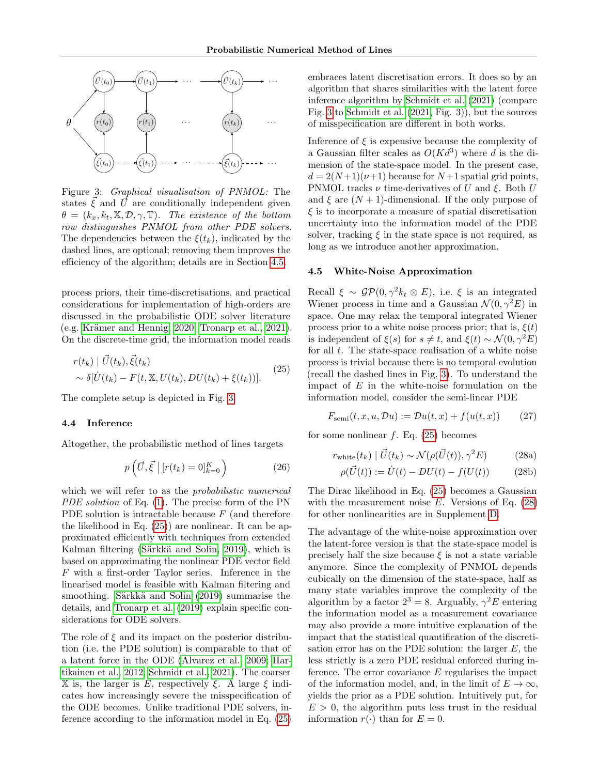

<span id="page-5-1"></span>Figure 3: Graphical visualisation of PNMOL: The states  $\xi$  and U are conditionally independent given  $\theta = (k_x, k_t, \mathbb{X}, \mathcal{D}, \gamma, \mathbb{T})$ . The existence of the bottom row distinguishes PNMOL from other PDE solvers. The dependencies between the  $\xi(t_k)$ , indicated by the dashed lines, are optional; removing them improves the efficiency of the algorithm; details are in Section [4.5.](#page-5-0)

process priors, their time-discretisations, and practical considerations for implementation of high-orders are discussed in the probabilistic ODE solver literature  $(e.g. Krämer and Hennig, 2020; Tronarp et al., 2021).$  $(e.g. Krämer and Hennig, 2020; Tronarp et al., 2021).$  $(e.g. Krämer and Hennig, 2020; Tronarp et al., 2021).$ On the discrete-time grid, the information model reads

$$
r(t_k) | \vec{U}(t_k), \vec{\xi}(t_k)
$$
  
 
$$
\sim \delta[\dot{U}(t_k) - F(t, \mathbb{X}, U(t_k), DU(t_k) + \xi(t_k))].
$$
 (25)

The complete setup is depicted in Fig. [3.](#page-5-1)

#### <span id="page-5-4"></span>4.4 Inference

Altogether, the probabilistic method of lines targets

$$
p\left(\vec{U}, \vec{\xi}\,\middle|\, [r(t_k) = 0]_{k=0}^K\right) \tag{26}
$$

which we will refer to as the *probabilistic numerical* PDE solution of Eq. [\(1\)](#page-0-1). The precise form of the PN PDE solution is intractable because  $F$  (and therefore the likelihood in Eq. [\(25\)](#page-5-2)) are nonlinear. It can be approximated efficiently with techniques from extended Kalman filtering (Särkkä and Solin, 2019), which is based on approximating the nonlinear PDE vector field F with a first-order Taylor series. Inference in the linearised model is feasible with Kalman filtering and smoothing. Särkkä and Solin [\(2019\)](#page-10-5) summarise the details, and [Tronarp et al.](#page-10-8) [\(2019\)](#page-10-8) explain specific considerations for ODE solvers.

The role of  $\xi$  and its impact on the posterior distribution (i.e. the PDE solution) is comparable to that of a latent force in the ODE [\(Alvarez et al., 2009;](#page-8-4) [Har](#page-9-12)[tikainen et al., 2012;](#page-9-12) [Schmidt et al., 2021\)](#page-10-9). The coarser  $X$  is, the larger is E, respectively ξ. A large ξ indicates how increasingly severe the misspecification of the ODE becomes. Unlike traditional PDE solvers, inference according to the information model in Eq. [\(25\)](#page-5-2) embraces latent discretisation errors. It does so by an algorithm that shares similarities with the latent force inference algorithm by [Schmidt et al.](#page-10-9) [\(2021\)](#page-10-9) (compare Fig. [3](#page-5-1) to [Schmidt et al.](#page-10-9) [\(2021,](#page-10-9) Fig. 3)), but the sources of misspecification are different in both works.

Inference of  $\xi$  is expensive because the complexity of a Gaussian filter scales as  $O(Kd^3)$  where d is the dimension of the state-space model. In the present case,  $d = 2(N+1)(\nu+1)$  because for  $N+1$  spatial grid points, PNMOL tracks  $\nu$  time-derivatives of U and  $\xi$ . Both U and  $\xi$  are  $(N + 1)$ -dimensional. If the only purpose of  $\xi$  is to incorporate a measure of spatial discretisation uncertainty into the information model of the PDE solver, tracking  $\xi$  in the state space is not required, as long as we introduce another approximation.

#### <span id="page-5-0"></span>4.5 White-Noise Approximation

<span id="page-5-2"></span>Recall  $\xi \sim \mathcal{GP}(0, \gamma^2 k_t \otimes E)$ , i.e.  $\xi$  is an integrated Wiener process in time and a Gaussian  $\mathcal{N}(0, \gamma^2 E)$  in space. One may relax the temporal integrated Wiener process prior to a white noise process prior; that is,  $\xi(t)$ is independent of  $\xi(s)$  for  $s \neq t$ , and  $\xi(t) \sim \mathcal{N}(0, \gamma^2 E)$ for all t. The state-space realisation of a white noise process is trivial because there is no temporal evolution (recall the dashed lines in Fig. [3\)](#page-5-1). To understand the impact of  $E$  in the white-noise formulation on the information model, consider the semi-linear PDE

$$
F_{\text{semi}}(t, x, u, \mathcal{D}u) := \mathcal{D}u(t, x) + f(u(t, x)) \qquad (27)
$$

for some nonlinear  $f$ . Eq. [\(25\)](#page-5-2) becomes

<span id="page-5-3"></span>
$$
r_{\text{white}}(t_k) | \vec{U}(t_k) \sim \mathcal{N}(\rho(\vec{U}(t)), \gamma^2 E) \tag{28a}
$$

$$
\rho(\vec{U}(t)) := \dot{U}(t) - DU(t) - f(U(t)) \tag{28b}
$$

The Dirac likelihood in Eq. [\(25\)](#page-5-2) becomes a Gaussian with the measurement noise  $E$ . Versions of Eq.  $(28)$ for other nonlinearities are in Supplement [D.](#page-13-0)

The advantage of the white-noise approximation over the latent-force version is that the state-space model is precisely half the size because  $\xi$  is not a state variable anymore. Since the complexity of PNMOL depends cubically on the dimension of the state-space, half as many state variables improve the complexity of the algorithm by a factor  $2^3 = 8$ . Arguably,  $\gamma^2 E$  entering the information model as a measurement covariance may also provide a more intuitive explanation of the impact that the statistical quantification of the discretisation error has on the PDE solution: the larger  $E$ , the less strictly is a zero PDE residual enforced during inference. The error covariance  $E$  regularises the impact of the information model, and, in the limit of  $E \to \infty$ , yields the prior as a PDE solution. Intuitively put, for  $E > 0$ , the algorithm puts less trust in the residual information  $r(\cdot)$  than for  $E = 0$ .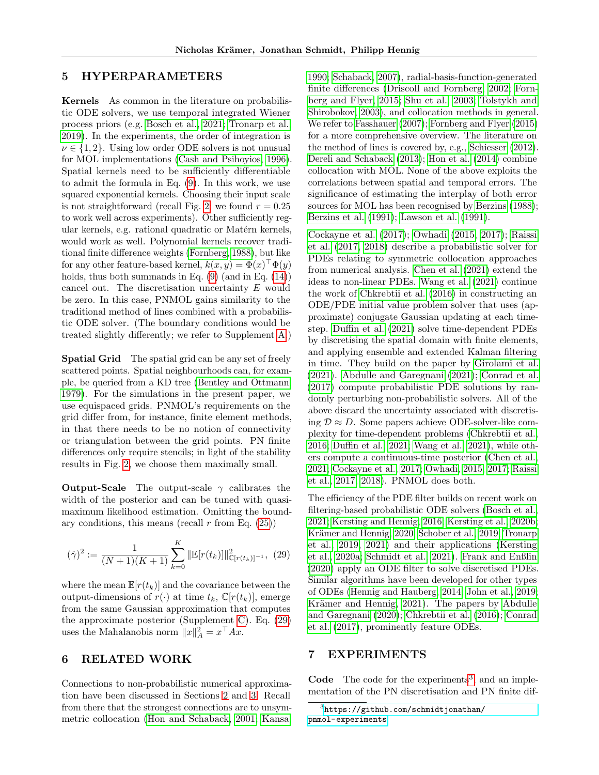# <span id="page-6-1"></span>5 HYPERPARAMETERS

Kernels As common in the literature on probabilistic ODE solvers, we use temporal integrated Wiener process priors (e.g. [Bosch et al., 2021;](#page-8-5) [Tronarp et al.,](#page-10-8) [2019\)](#page-10-8). In the experiments, the order of integration is  $\nu \in \{1, 2\}$ . Using low order ODE solvers is not unusual for MOL implementations [\(Cash and Psihoyios, 1996\)](#page-8-6). Spatial kernels need to be sufficiently differentiable to admit the formula in Eq. [\(9\)](#page-2-4). In this work, we use squared exponential kernels. Choosing their input scale is not straightforward (recall Fig. [2;](#page-3-1) we found  $r = 0.25$ ) to work well across experiments). Other sufficiently regular kernels, e.g. rational quadratic or Matérn kernels, would work as well. Polynomial kernels recover traditional finite difference weights [\(Fornberg, 1988\)](#page-9-10), but like for any other feature-based kernel,  $k(x, y) = \Phi(x)^\top \Phi(y)$ holds, thus both summands in Eq.  $(9)$  (and in Eq.  $(14)$ ) cancel out. The discretisation uncertainty E would be zero. In this case, PNMOL gains similarity to the traditional method of lines combined with a probabilistic ODE solver. (The boundary conditions would be treated slightly differently; we refer to Supplement [A.](#page-11-0))

Spatial Grid The spatial grid can be any set of freely scattered points. Spatial neighbourhoods can, for example, be queried from a KD tree [\(Bentley and Ottmann,](#page-8-7) [1979\)](#page-8-7). For the simulations in the present paper, we use equispaced grids. PNMOL's requirements on the grid differ from, for instance, finite element methods, in that there needs to be no notion of connectivity or triangulation between the grid points. PN finite differences only require stencils; in light of the stability results in Fig. [2,](#page-3-1) we choose them maximally small.

**Output-Scale** The output-scale  $\gamma$  calibrates the width of the posterior and can be tuned with quasimaximum likelihood estimation. Omitting the boundary conditions, this means (recall  $r$  from Eq. [\(25\)](#page-5-2))

$$
(\hat{\gamma})^2 := \frac{1}{(N+1)(K+1)} \sum_{k=0}^K \|\mathbb{E}[r(t_k)]\|_{\mathbb{C}[r(t_k)]^{-1}}^2, (29)
$$

where the mean  $\mathbb{E}[r(t_k)]$  and the covariance between the output-dimensions of  $r(\cdot)$  at time  $t_k$ ,  $\mathbb{C}[r(t_k)]$ , emerge from the same Gaussian approximation that computes the approximate posterior (Supplement [C\)](#page-12-1). Eq. [\(29\)](#page-6-3) uses the Mahalanobis norm  $||x||_A^2 = x^\top Ax$ .

# <span id="page-6-2"></span>6 RELATED WORK

Connections to non-probabilistic numerical approximation have been discussed in Sections [2](#page-1-1) and [3.](#page-2-0) Recall from there that the strongest connections are to unsymmetric collocation [\(Hon and Schaback, 2001;](#page-9-6) [Kansa,](#page-9-5) [1990;](#page-9-5) [Schaback, 2007\)](#page-10-2), radial-basis-function-generated finite differences [\(Driscoll and Fornberg, 2002;](#page-8-3) [Forn](#page-9-9)[berg and Flyer, 2015;](#page-9-9) [Shu et al., 2003;](#page-10-4) [Tolstykh and](#page-10-1) [Shirobokov, 2003\)](#page-10-1), and collocation methods in general. We refer to [Fasshauer](#page-9-13) [\(2007\)](#page-9-13); [Fornberg and Flyer](#page-9-9) [\(2015\)](#page-9-9) for a more comprehensive overview. The literature on the method of lines is covered by, e.g., [Schiesser](#page-10-0) [\(2012\)](#page-10-0). [Dereli and Schaback](#page-8-8) [\(2013\)](#page-8-8); [Hon et al.](#page-9-14) [\(2014\)](#page-9-14) combine collocation with MOL. None of the above exploits the correlations between spatial and temporal errors. The significance of estimating the interplay of both error sources for MOL has been recognised by [Berzins](#page-8-9) [\(1988\)](#page-8-9); [Berzins et al.](#page-8-10) [\(1991\)](#page-8-10); [Lawson et al.](#page-9-15) [\(1991\)](#page-9-15).

[Cockayne et al.](#page-8-1) [\(2017\)](#page-8-1); [Owhadi](#page-9-16) [\(2015,](#page-9-16) [2017\)](#page-9-17); [Raissi](#page-9-18) [et al.](#page-9-18) [\(2017,](#page-9-18) [2018\)](#page-9-19) describe a probabilistic solver for PDEs relating to symmetric collocation approaches from numerical analysis. [Chen et al.](#page-8-11) [\(2021\)](#page-8-11) extend the ideas to non-linear PDEs. [Wang et al.](#page-10-10) [\(2021\)](#page-10-10) continue the work of [Chkrebtii et al.](#page-8-12) [\(2016\)](#page-8-12) in constructing an ODE/PDE initial value problem solver that uses (approximate) conjugate Gaussian updating at each timestep. [Duffin et al.](#page-8-13) [\(2021\)](#page-8-13) solve time-dependent PDEs by discretising the spatial domain with finite elements, and applying ensemble and extended Kalman filtering in time. They build on the paper by [Girolami et al.](#page-9-20) [\(2021\)](#page-9-20). [Abdulle and Garegnani](#page-8-14) [\(2021\)](#page-8-14); [Conrad et al.](#page-8-15) [\(2017\)](#page-8-15) compute probabilistic PDE solutions by randomly perturbing non-probabilistic solvers. All of the above discard the uncertainty associated with discretising  $\mathcal{D} \approx D$ . Some papers achieve ODE-solver-like complexity for time-dependent problems [\(Chkrebtii et al.,](#page-8-12) [2016;](#page-8-12) [Duffin et al., 2021;](#page-8-13) [Wang et al., 2021\)](#page-10-10), while others compute a continuous-time posterior [\(Chen et al.,](#page-8-11) [2021;](#page-8-11) [Cockayne et al., 2017;](#page-8-1) [Owhadi, 2015,](#page-9-16) [2017;](#page-9-17) [Raissi](#page-9-18) [et al., 2017,](#page-9-18) [2018\)](#page-9-19). PNMOL does both.

<span id="page-6-3"></span>The efficiency of the PDE filter builds on recent work on filtering-based probabilistic ODE solvers [\(Bosch et al.,](#page-8-5) [2021;](#page-8-5) [Kersting and Hennig, 2016;](#page-9-21) [Kersting et al., 2020b;](#page-9-22) Krämer and Hennig, 2020; [Schober et al., 2019;](#page-10-11) [Tronarp](#page-10-8) [et al., 2019,](#page-10-8) [2021\)](#page-10-7) and their applications [\(Kersting](#page-9-23) [et al., 2020a;](#page-9-23) [Schmidt et al., 2021\)](#page-10-9). [Frank and Enßlin](#page-9-24) [\(2020\)](#page-9-24) apply an ODE filter to solve discretised PDEs. Similar algorithms have been developed for other types of ODEs [\(Hennig and Hauberg, 2014;](#page-9-25) [John et al., 2019;](#page-9-26) Krämer and Hennig, 2021). The papers by [Abdulle](#page-8-16) [and Garegnani](#page-8-16) [\(2020\)](#page-8-16); [Chkrebtii et al.](#page-8-12) [\(2016\)](#page-8-12); [Conrad](#page-8-15) [et al.](#page-8-15) [\(2017\)](#page-8-15), prominently feature ODEs.

## <span id="page-6-0"></span>7 EXPERIMENTS

Code The code for the experiments<sup>[3](#page-6-4)</sup>, and an implementation of the PN discretisation and PN finite dif-

<span id="page-6-4"></span> $^3$ [https://github.com/schmidtjonathan/](https://github.com/schmidtjonathan/pnmol-experiments) [pnmol-experiments](https://github.com/schmidtjonathan/pnmol-experiments)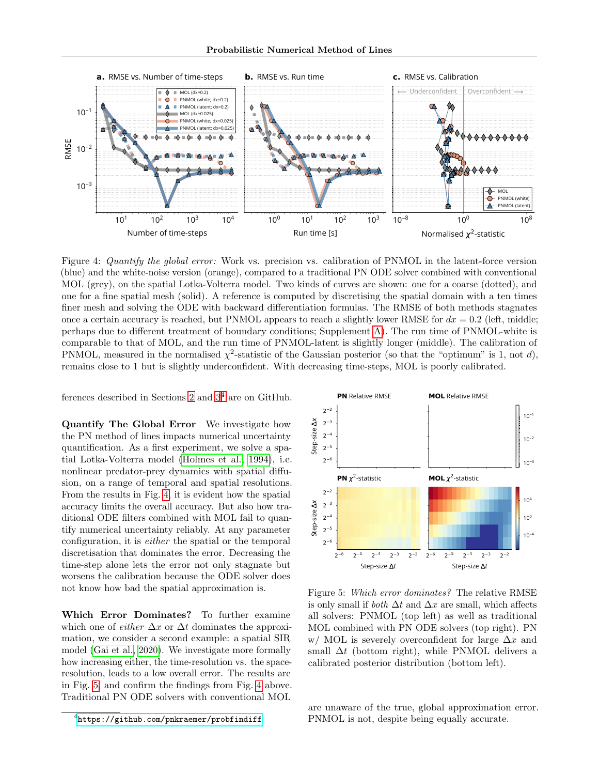

<span id="page-7-1"></span>Figure 4: Quantify the global error: Work vs. precision vs. calibration of PNMOL in the latent-force version (blue) and the white-noise version (orange), compared to a traditional PN ODE solver combined with conventional MOL (grey), on the spatial Lotka-Volterra model. Two kinds of curves are shown: one for a coarse (dotted), and one for a fine spatial mesh (solid). A reference is computed by discretising the spatial domain with a ten times finer mesh and solving the ODE with backward differentiation formulas. The RMSE of both methods stagnates once a certain accuracy is reached, but PNMOL appears to reach a slightly lower RMSE for  $dx = 0.2$  (left, middle; perhaps due to different treatment of boundary conditions; Supplement [A\)](#page-11-0). The run time of PNMOL-white is comparable to that of MOL, and the run time of PNMOL-latent is slightly longer (middle). The calibration of PNMOL, measured in the normalised  $\chi^2$ -statistic of the Gaussian posterior (so that the "optimum" is 1, not d), remains close to 1 but is slightly underconfident. With decreasing time-steps, MOL is poorly calibrated.

ferences described in Sections [2](#page-1-1) and  $3<sup>4</sup>$  $3<sup>4</sup>$  $3<sup>4</sup>$  are on GitHub.

Quantify The Global Error We investigate how the PN method of lines impacts numerical uncertainty quantification. As a first experiment, we solve a spatial Lotka-Volterra model [\(Holmes et al., 1994\)](#page-9-28), i.e. nonlinear predator-prey dynamics with spatial diffusion, on a range of temporal and spatial resolutions. From the results in Fig. [4,](#page-7-1) it is evident how the spatial accuracy limits the overall accuracy. But also how traditional ODE filters combined with MOL fail to quantify numerical uncertainty reliably. At any parameter configuration, it is either the spatial or the temporal discretisation that dominates the error. Decreasing the time-step alone lets the error not only stagnate but worsens the calibration because the ODE solver does not know how bad the spatial approximation is.

Which Error Dominates? To further examine which one of *either*  $\Delta x$  or  $\Delta t$  dominates the approximation, we consider a second example: a spatial SIR model [\(Gai et al., 2020\)](#page-9-29). We investigate more formally how increasing either, the time-resolution vs. the spaceresolution, leads to a low overall error. The results are in Fig. [5,](#page-7-2) and confirm the findings from Fig. [4](#page-7-1) above. Traditional PN ODE solvers with conventional MOL



<span id="page-7-2"></span>Figure 5: Which error dominates? The relative RMSE is only small if *both*  $\Delta t$  and  $\Delta x$  are small, which affects all solvers: PNMOL (top left) as well as traditional MOL combined with PN ODE solvers (top right). PN w/ MOL is severely overconfident for large  $\Delta x$  and small  $\Delta t$  (bottom right), while PNMOL delivers a calibrated posterior distribution (bottom left).

are unaware of the true, global approximation error. PNMOL is not, despite being equally accurate.

<span id="page-7-0"></span><sup>4</sup> <https://github.com/pnkraemer/probfindiff>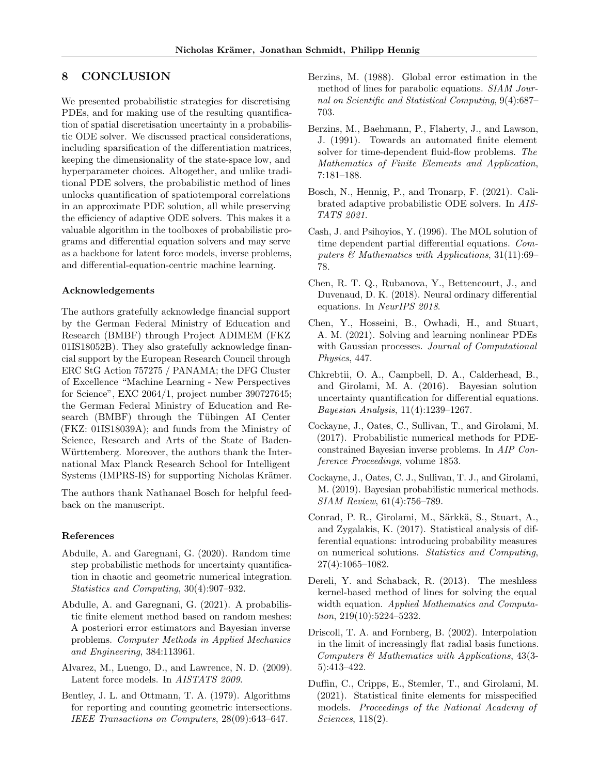# 8 CONCLUSION

We presented probabilistic strategies for discretising PDEs, and for making use of the resulting quantification of spatial discretisation uncertainty in a probabilistic ODE solver. We discussed practical considerations, including sparsification of the differentiation matrices, keeping the dimensionality of the state-space low, and hyperparameter choices. Altogether, and unlike traditional PDE solvers, the probabilistic method of lines unlocks quantification of spatiotemporal correlations in an approximate PDE solution, all while preserving the efficiency of adaptive ODE solvers. This makes it a valuable algorithm in the toolboxes of probabilistic programs and differential equation solvers and may serve as a backbone for latent force models, inverse problems, and differential-equation-centric machine learning.

#### Acknowledgements

The authors gratefully acknowledge financial support by the German Federal Ministry of Education and Research (BMBF) through Project ADIMEM (FKZ 01IS18052B). They also gratefully acknowledge financial support by the European Research Council through ERC StG Action 757275 / PANAMA; the DFG Cluster of Excellence "Machine Learning - New Perspectives for Science", EXC 2064/1, project number 390727645; the German Federal Ministry of Education and Research (BMBF) through the Tübingen AI Center (FKZ: 01IS18039A); and funds from the Ministry of Science, Research and Arts of the State of Baden-Württemberg. Moreover, the authors thank the International Max Planck Research School for Intelligent Systems (IMPRS-IS) for supporting Nicholas Krämer.

The authors thank Nathanael Bosch for helpful feedback on the manuscript.

#### References

- <span id="page-8-16"></span>Abdulle, A. and Garegnani, G. (2020). Random time step probabilistic methods for uncertainty quantification in chaotic and geometric numerical integration. Statistics and Computing, 30(4):907–932.
- <span id="page-8-14"></span>Abdulle, A. and Garegnani, G. (2021). A probabilistic finite element method based on random meshes: A posteriori error estimators and Bayesian inverse problems. Computer Methods in Applied Mechanics and Engineering, 384:113961.
- <span id="page-8-4"></span>Alvarez, M., Luengo, D., and Lawrence, N. D. (2009). Latent force models. In AISTATS 2009.
- <span id="page-8-7"></span>Bentley, J. L. and Ottmann, T. A. (1979). Algorithms for reporting and counting geometric intersections. IEEE Transactions on Computers, 28(09):643–647.
- <span id="page-8-9"></span>Berzins, M. (1988). Global error estimation in the method of lines for parabolic equations. SIAM Journal on Scientific and Statistical Computing, 9(4):687– 703.
- <span id="page-8-10"></span>Berzins, M., Baehmann, P., Flaherty, J., and Lawson, J. (1991). Towards an automated finite element solver for time-dependent fluid-flow problems. The Mathematics of Finite Elements and Application, 7:181–188.
- <span id="page-8-5"></span>Bosch, N., Hennig, P., and Tronarp, F. (2021). Calibrated adaptive probabilistic ODE solvers. In AIS-TATS 2021.
- <span id="page-8-6"></span>Cash, J. and Psihoyios, Y. (1996). The MOL solution of time dependent partial differential equations. Computers  $\mathcal C$  Mathematics with Applications, 31(11):69– 78.
- <span id="page-8-0"></span>Chen, R. T. Q., Rubanova, Y., Bettencourt, J., and Duvenaud, D. K. (2018). Neural ordinary differential equations. In NeurIPS 2018.
- <span id="page-8-11"></span>Chen, Y., Hosseini, B., Owhadi, H., and Stuart, A. M. (2021). Solving and learning nonlinear PDEs with Gaussian processes. Journal of Computational Physics, 447.
- <span id="page-8-12"></span>Chkrebtii, O. A., Campbell, D. A., Calderhead, B., and Girolami, M. A. (2016). Bayesian solution uncertainty quantification for differential equations. Bayesian Analysis, 11(4):1239–1267.
- <span id="page-8-1"></span>Cockayne, J., Oates, C., Sullivan, T., and Girolami, M. (2017). Probabilistic numerical methods for PDEconstrained Bayesian inverse problems. In AIP Conference Proceedings, volume 1853.
- <span id="page-8-2"></span>Cockayne, J., Oates, C. J., Sullivan, T. J., and Girolami, M. (2019). Bayesian probabilistic numerical methods. SIAM Review, 61(4):756–789.
- <span id="page-8-15"></span>Conrad, P. R., Girolami, M., Särkkä, S., Stuart, A., and Zygalakis, K. (2017). Statistical analysis of differential equations: introducing probability measures on numerical solutions. Statistics and Computing, 27(4):1065–1082.
- <span id="page-8-8"></span>Dereli, Y. and Schaback, R. (2013). The meshless kernel-based method of lines for solving the equal width equation. Applied Mathematics and Computation,  $219(10):5224-5232$ .
- <span id="page-8-3"></span>Driscoll, T. A. and Fornberg, B. (2002). Interpolation in the limit of increasingly flat radial basis functions. Computers & Mathematics with Applications, 43(3- 5):413–422.
- <span id="page-8-13"></span>Duffin, C., Cripps, E., Stemler, T., and Girolami, M. (2021). Statistical finite elements for misspecified models. Proceedings of the National Academy of Sciences, 118(2).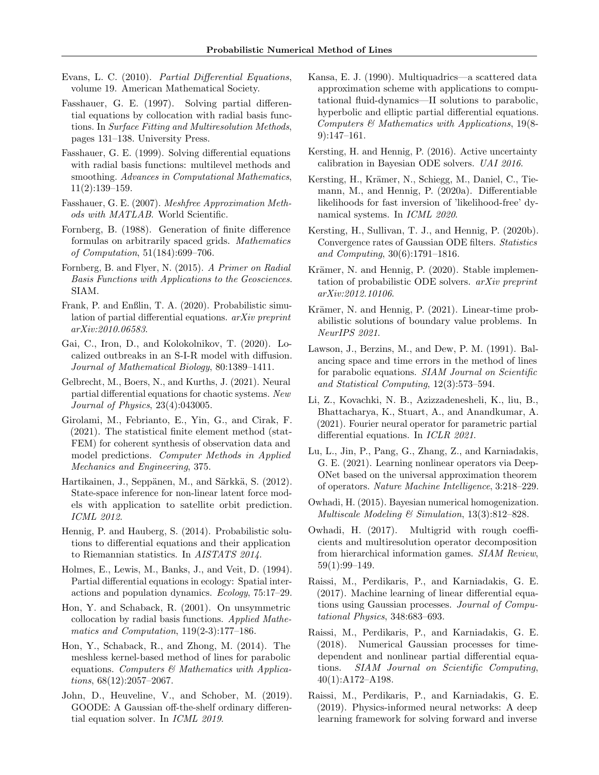- <span id="page-9-4"></span>Evans, L. C. (2010). Partial Differential Equations, volume 19. American Mathematical Society.
- <span id="page-9-7"></span>Fasshauer, G. E. (1997). Solving partial differential equations by collocation with radial basis functions. In Surface Fitting and Multiresolution Methods, pages 131–138. University Press.
- <span id="page-9-8"></span>Fasshauer, G. E. (1999). Solving differential equations with radial basis functions: multilevel methods and smoothing. Advances in Computational Mathematics, 11(2):139–159.
- <span id="page-9-13"></span>Fasshauer, G. E. (2007). Meshfree Approximation Methods with MATLAB. World Scientific.
- <span id="page-9-10"></span>Fornberg, B. (1988). Generation of finite difference formulas on arbitrarily spaced grids. Mathematics of Computation, 51(184):699–706.
- <span id="page-9-9"></span>Fornberg, B. and Flyer, N. (2015). A Primer on Radial Basis Functions with Applications to the Geosciences. SIAM.
- <span id="page-9-24"></span>Frank, P. and Enßlin, T. A. (2020). Probabilistic simulation of partial differential equations. arXiv preprint arXiv:2010.06583.
- <span id="page-9-29"></span>Gai, C., Iron, D., and Kolokolnikov, T. (2020). Localized outbreaks in an S-I-R model with diffusion. Journal of Mathematical Biology, 80:1389–1411.
- <span id="page-9-3"></span>Gelbrecht, M., Boers, N., and Kurths, J. (2021). Neural partial differential equations for chaotic systems. New Journal of Physics, 23(4):043005.
- <span id="page-9-20"></span>Girolami, M., Febrianto, E., Yin, G., and Cirak, F. (2021). The statistical finite element method (stat-FEM) for coherent synthesis of observation data and model predictions. Computer Methods in Applied Mechanics and Engineering, 375.
- <span id="page-9-12"></span>Hartikainen, J., Seppänen, M., and Särkkä, S. (2012). State-space inference for non-linear latent force models with application to satellite orbit prediction. ICML 2012.
- <span id="page-9-25"></span>Hennig, P. and Hauberg, S. (2014). Probabilistic solutions to differential equations and their application to Riemannian statistics. In AISTATS 2014.
- <span id="page-9-28"></span>Holmes, E., Lewis, M., Banks, J., and Veit, D. (1994). Partial differential equations in ecology: Spatial interactions and population dynamics. Ecology, 75:17–29.
- <span id="page-9-6"></span>Hon, Y. and Schaback, R. (2001). On unsymmetric collocation by radial basis functions. Applied Mathematics and Computation, 119(2-3):177–186.
- <span id="page-9-14"></span>Hon, Y., Schaback, R., and Zhong, M. (2014). The meshless kernel-based method of lines for parabolic equations. Computers  $\mathcal{B}$  Mathematics with Applications, 68(12):2057–2067.
- <span id="page-9-26"></span>John, D., Heuveline, V., and Schober, M. (2019). GOODE: A Gaussian off-the-shelf ordinary differential equation solver. In ICML 2019.
- <span id="page-9-5"></span>Kansa, E. J. (1990). Multiquadrics—a scattered data approximation scheme with applications to computational fluid-dynamics—II solutions to parabolic, hyperbolic and elliptic partial differential equations. Computers & Mathematics with Applications, 19(8- 9):147–161.
- <span id="page-9-21"></span>Kersting, H. and Hennig, P. (2016). Active uncertainty calibration in Bayesian ODE solvers. UAI 2016.
- <span id="page-9-23"></span>Kersting, H., Krämer, N., Schiegg, M., Daniel, C., Tiemann, M., and Hennig, P. (2020a). Differentiable likelihoods for fast inversion of 'likelihood-free' dynamical systems. In ICML 2020.
- <span id="page-9-22"></span>Kersting, H., Sullivan, T. J., and Hennig, P. (2020b). Convergence rates of Gaussian ODE filters. Statistics and Computing, 30(6):1791–1816.
- <span id="page-9-11"></span>Krämer, N. and Hennig, P. (2020). Stable implementation of probabilistic ODE solvers. arXiv preprint arXiv:2012.10106.
- <span id="page-9-27"></span>Krämer, N. and Hennig, P. (2021). Linear-time probabilistic solutions of boundary value problems. In NeurIPS 2021.
- <span id="page-9-15"></span>Lawson, J., Berzins, M., and Dew, P. M. (1991). Balancing space and time errors in the method of lines for parabolic equations. SIAM Journal on Scientific and Statistical Computing, 12(3):573–594.
- <span id="page-9-1"></span>Li, Z., Kovachki, N. B., Azizzadenesheli, K., liu, B., Bhattacharya, K., Stuart, A., and Anandkumar, A. (2021). Fourier neural operator for parametric partial differential equations. In ICLR 2021.
- <span id="page-9-2"></span>Lu, L., Jin, P., Pang, G., Zhang, Z., and Karniadakis, G. E. (2021). Learning nonlinear operators via Deep-ONet based on the universal approximation theorem of operators. Nature Machine Intelligence, 3:218–229.
- <span id="page-9-16"></span>Owhadi, H. (2015). Bayesian numerical homogenization. Multiscale Modeling & Simulation, 13(3):812–828.
- <span id="page-9-17"></span>Owhadi, H. (2017). Multigrid with rough coefficients and multiresolution operator decomposition from hierarchical information games. SIAM Review, 59(1):99–149.
- <span id="page-9-18"></span>Raissi, M., Perdikaris, P., and Karniadakis, G. E. (2017). Machine learning of linear differential equations using Gaussian processes. Journal of Computational Physics, 348:683–693.
- <span id="page-9-19"></span>Raissi, M., Perdikaris, P., and Karniadakis, G. E. (2018). Numerical Gaussian processes for timedependent and nonlinear partial differential equations. SIAM Journal on Scientific Computing, 40(1):A172–A198.
- <span id="page-9-0"></span>Raissi, M., Perdikaris, P., and Karniadakis, G. E. (2019). Physics-informed neural networks: A deep learning framework for solving forward and inverse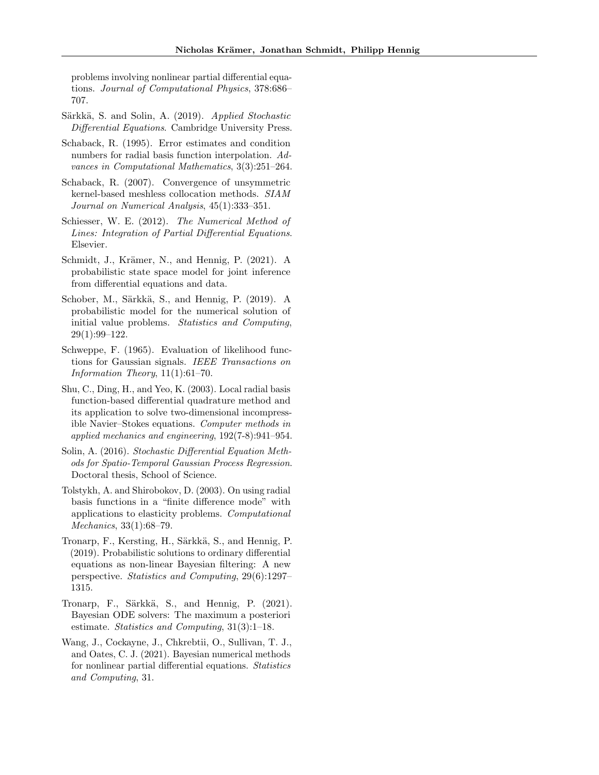problems involving nonlinear partial differential equations. Journal of Computational Physics, 378:686– 707.

- <span id="page-10-5"></span>Särkkä, S. and Solin, A. (2019). Applied Stochastic Differential Equations. Cambridge University Press.
- <span id="page-10-3"></span>Schaback, R. (1995). Error estimates and condition numbers for radial basis function interpolation. Advances in Computational Mathematics, 3(3):251–264.
- <span id="page-10-2"></span>Schaback, R. (2007). Convergence of unsymmetric kernel-based meshless collocation methods. SIAM Journal on Numerical Analysis, 45(1):333–351.
- <span id="page-10-0"></span>Schiesser, W. E. (2012). The Numerical Method of Lines: Integration of Partial Differential Equations. Elsevier.
- <span id="page-10-9"></span>Schmidt, J., Krämer, N., and Hennig, P. (2021). A probabilistic state space model for joint inference from differential equations and data.
- <span id="page-10-11"></span>Schober, M., Särkkä, S., and Hennig, P. (2019). A probabilistic model for the numerical solution of initial value problems. Statistics and Computing, 29(1):99–122.
- <span id="page-10-12"></span>Schweppe, F. (1965). Evaluation of likelihood functions for Gaussian signals. IEEE Transactions on Information Theory, 11(1):61–70.
- <span id="page-10-4"></span>Shu, C., Ding, H., and Yeo, K. (2003). Local radial basis function-based differential quadrature method and its application to solve two-dimensional incompressible Navier–Stokes equations. Computer methods in applied mechanics and engineering, 192(7-8):941–954.
- <span id="page-10-6"></span>Solin, A. (2016). Stochastic Differential Equation Methods for Spatio-Temporal Gaussian Process Regression. Doctoral thesis, School of Science.
- <span id="page-10-1"></span>Tolstykh, A. and Shirobokov, D. (2003). On using radial basis functions in a "finite difference mode" with applications to elasticity problems. Computational Mechanics, 33(1):68–79.
- <span id="page-10-8"></span>Tronarp, F., Kersting, H., Särkkä, S., and Hennig, P. (2019). Probabilistic solutions to ordinary differential equations as non-linear Bayesian filtering: A new perspective. Statistics and Computing, 29(6):1297– 1315.
- <span id="page-10-7"></span>Tronarp, F., Särkkä, S., and Hennig, P. (2021). Bayesian ODE solvers: The maximum a posteriori estimate. Statistics and Computing, 31(3):1–18.
- <span id="page-10-10"></span>Wang, J., Cockayne, J., Chkrebtii, O., Sullivan, T. J., and Oates, C. J. (2021). Bayesian numerical methods for nonlinear partial differential equations. Statistics and Computing, 31.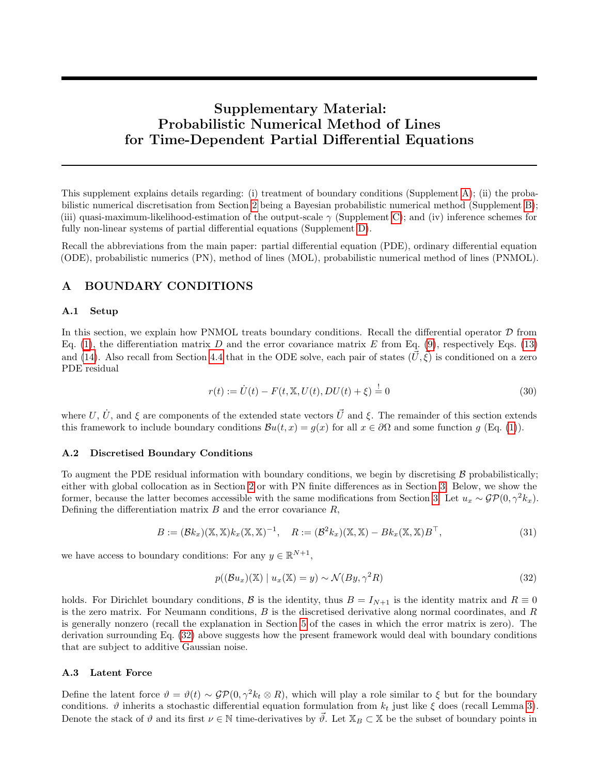# Supplementary Material: Probabilistic Numerical Method of Lines for Time-Dependent Partial Differential Equations

This supplement explains details regarding: (i) treatment of boundary conditions (Supplement [A\)](#page-11-0); (ii) the probabilistic numerical discretisation from Section [2](#page-1-1) being a Bayesian probabilistic numerical method (Supplement [B\)](#page-12-0); (iii) quasi-maximum-likelihood-estimation of the output-scale  $\gamma$  (Supplement [C\)](#page-12-1); and (iv) inference schemes for fully non-linear systems of partial differential equations (Supplement [D\)](#page-13-0).

Recall the abbreviations from the main paper: partial differential equation (PDE), ordinary differential equation (ODE), probabilistic numerics (PN), method of lines (MOL), probabilistic numerical method of lines (PNMOL).

# <span id="page-11-0"></span>A BOUNDARY CONDITIONS

#### A.1 Setup

In this section, we explain how PNMOL treats boundary conditions. Recall the differential operator  $D$  from Eq. [\(1\)](#page-0-1), the differentiation matrix D and the error covariance matrix E from Eq. [\(9\)](#page-2-4), respectively Eqs. [\(13\)](#page-2-5) and [\(14\)](#page-3-2). Also recall from Section [4.4](#page-5-4) that in the ODE solve, each pair of states  $(\vec{U}, \vec{\xi})$  is conditioned on a zero PDE residual

<span id="page-11-2"></span>
$$
r(t) := \dot{U}(t) - F(t, \mathbb{X}, U(t), DU(t) + \xi) = 0
$$
\n(30)

where U,  $\dot{U}$ , and  $\xi$  are components of the extended state vectors  $\vec{U}$  and  $\xi$ . The remainder of this section extends this framework to include boundary conditions  $\mathcal{B}u(t,x) = g(x)$  for all  $x \in \partial\Omega$  and some function g (Eq. [\(1\)](#page-0-1)).

#### A.2 Discretised Boundary Conditions

To augment the PDE residual information with boundary conditions, we begin by discretising  $\beta$  probabilistically; either with global collocation as in Section [2](#page-1-1) or with PN finite differences as in Section [3.](#page-2-0) Below, we show the former, because the latter becomes accessible with the same modifications from Section [3.](#page-2-0) Let  $u_x \sim \mathcal{GP}(0, \gamma^2 k_x)$ . Defining the differentiation matrix  $B$  and the error covariance  $R$ ,

$$
B := (\mathcal{B}k_x)(\mathbb{X}, \mathbb{X})k_x(\mathbb{X}, \mathbb{X})^{-1}, \quad R := (\mathcal{B}^2k_x)(\mathbb{X}, \mathbb{X}) - Bk_x(\mathbb{X}, \mathbb{X})B^{\top}, \tag{31}
$$

we have access to boundary conditions: For any  $y \in \mathbb{R}^{N+1}$ ,

<span id="page-11-1"></span>
$$
p((\mathcal{B}u_x)(\mathbb{X}) \mid u_x(\mathbb{X}) = y) \sim \mathcal{N}(By, \gamma^2 R)
$$
\n(32)

holds. For Dirichlet boundary conditions, B is the identity, thus  $B = I_{N+1}$  is the identity matrix and  $R \equiv 0$ is the zero matrix. For Neumann conditions,  $B$  is the discretised derivative along normal coordinates, and  $R$ is generally nonzero (recall the explanation in Section [5](#page-6-1) of the cases in which the error matrix is zero). The derivation surrounding Eq. [\(32\)](#page-11-1) above suggests how the present framework would deal with boundary conditions that are subject to additive Gaussian noise.

### A.3 Latent Force

Define the latent force  $\vartheta = \vartheta(t) \sim \mathcal{GP}(0, \gamma^2 k_t \otimes R)$ , which will play a role similar to  $\xi$  but for the boundary conditions.  $\vartheta$  inherits a stochastic differential equation formulation from  $k_t$  just like  $\xi$  does (recall Lemma [3\)](#page-4-2). Denote the stack of  $\vartheta$  and its first  $\nu \in \mathbb{N}$  time-derivatives by  $\overline{\vartheta}$ . Let  $\mathbb{X}_B \subset \mathbb{X}$  be the subset of boundary points in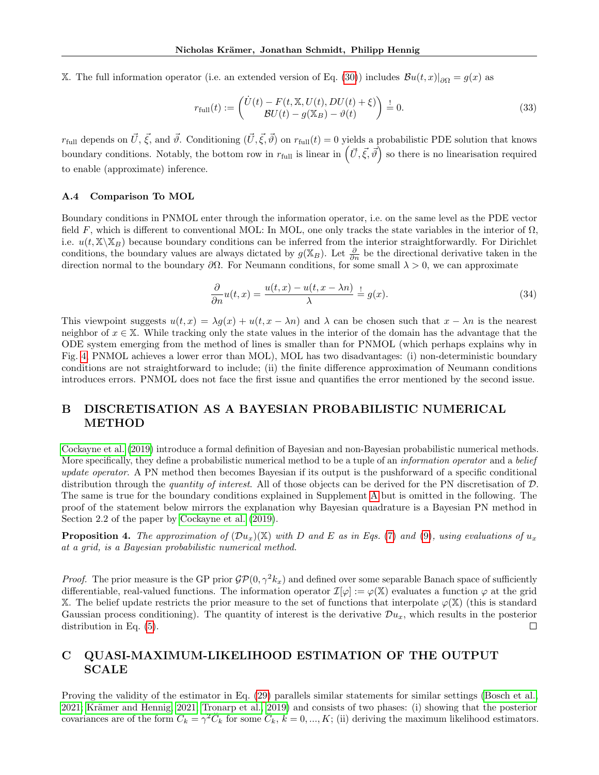X. The full information operator (i.e. an extended version of Eq. [\(30\)](#page-11-2)) includes  $Bu(t,x)|_{\partial\Omega} = g(x)$  as

$$
r_{\text{full}}(t) := \begin{pmatrix} \dot{U}(t) - F(t, \mathbb{X}, U(t), DU(t) + \xi) \\ \mathcal{B}U(t) - g(\mathbb{X}_B) - \vartheta(t) \end{pmatrix} \stackrel{!}{=} 0.
$$
 (33)

 $r_{\text{full}}$  depends on  $\vec{U}, \vec{\xi}$ , and  $\vec{\theta}$ . Conditioning  $(\vec{U}, \vec{\xi}, \vec{\theta})$  on  $r_{\text{full}}(t) = 0$  yields a probabilistic PDE solution that knows boundary conditions. Notably, the bottom row in  $r_{\text{full}}$  is linear in  $(\vec{U}, \vec{\xi}, \vec{\theta})$  so there is no linearisation required to enable (approximate) inference.

#### A.4 Comparison To MOL

Boundary conditions in PNMOL enter through the information operator, i.e. on the same level as the PDE vector field F, which is different to conventional MOL: In MOL, one only tracks the state variables in the interior of  $\Omega$ , i.e.  $u(t, \mathbb{X}\setminus\mathbb{X}_B)$  because boundary conditions can be inferred from the interior straightforwardly. For Dirichlet conditions, the boundary values are always dictated by  $g(\mathbb{X}_B)$ . Let  $\frac{\partial}{\partial n}$  be the directional derivative taken in the direction normal to the boundary  $\partial\Omega$ . For Neumann conditions, for some small  $\lambda > 0$ , we can approximate

$$
\frac{\partial}{\partial n}u(t,x) = \frac{u(t,x) - u(t,x - \lambda n)}{\lambda} \stackrel{!}{=} g(x). \tag{34}
$$

This viewpoint suggests  $u(t, x) = \lambda g(x) + u(t, x - \lambda n)$  and  $\lambda$  can be chosen such that  $x - \lambda n$  is the nearest neighbor of  $x \in X$ . While tracking only the state values in the interior of the domain has the advantage that the ODE system emerging from the method of lines is smaller than for PNMOL (which perhaps explains why in Fig. [4,](#page-7-1) PNMOL achieves a lower error than MOL), MOL has two disadvantages: (i) non-deterministic boundary conditions are not straightforward to include; (ii) the finite difference approximation of Neumann conditions introduces errors. PNMOL does not face the first issue and quantifies the error mentioned by the second issue.

# <span id="page-12-0"></span>B DISCRETISATION AS A BAYESIAN PROBABILISTIC NUMERICAL METHOD

[Cockayne et al.](#page-8-2) [\(2019\)](#page-8-2) introduce a formal definition of Bayesian and non-Bayesian probabilistic numerical methods. More specifically, they define a probabilistic numerical method to be a tuple of an *information operator* and a *belief* update operator. A PN method then becomes Bayesian if its output is the pushforward of a specific conditional distribution through the *quantity of interest*. All of those objects can be derived for the PN discretisation of  $D$ . The same is true for the boundary conditions explained in Supplement [A](#page-11-0) but is omitted in the following. The proof of the statement below mirrors the explanation why Bayesian quadrature is a Bayesian PN method in Section 2.2 of the paper by [Cockayne et al.](#page-8-2) [\(2019\)](#page-8-2).

**Proposition 4.** The approximation of  $(\mathcal{D}u_x)(X)$  with D and E as in Eqs. [\(7\)](#page-2-2) and [\(9\)](#page-2-4), using evaluations of  $u_x$ at a grid, is a Bayesian probabilistic numerical method.

*Proof.* The prior measure is the GP prior  $\mathcal{GP}(0, \gamma^2 k_x)$  and defined over some separable Banach space of sufficiently differentiable, real-valued functions. The information operator  $\mathcal{I}[\varphi] := \varphi(\mathbb{X})$  evaluates a function  $\varphi$  at the grid X. The belief update restricts the prior measure to the set of functions that interpolate  $\varphi(\mathbb{X})$  (this is standard Gaussian process conditioning). The quantity of interest is the derivative  $\mathcal{D}u_x$ , which results in the posterior distribution in Eq. [\(5\)](#page-2-6).  $\Box$ 

# <span id="page-12-1"></span>C QUASI-MAXIMUM-LIKELIHOOD ESTIMATION OF THE OUTPUT SCALE

Proving the validity of the estimator in Eq. [\(29\)](#page-6-3) parallels similar statements for similar settings [\(Bosch et al.,](#page-8-5) [2021;](#page-8-5) Krämer and Hennig, 2021; [Tronarp et al., 2019\)](#page-10-8) and consists of two phases: (i) showing that the posterior covariances are of the form  $C_k = \gamma^2 \check{C}_k$  for some  $\check{C}_k$ ,  $k = 0, ..., K$ ; (ii) deriving the maximum likelihood estimators.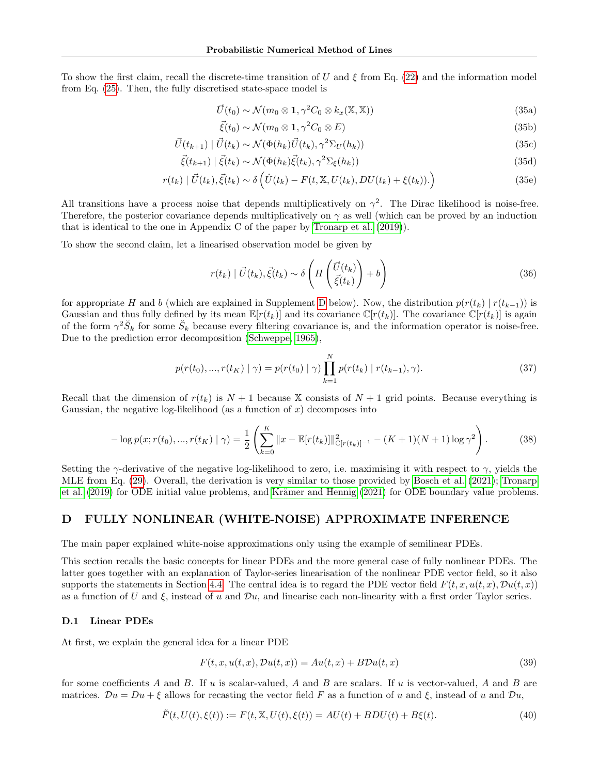To show the first claim, recall the discrete-time transition of U and  $\xi$  from Eq. [\(22\)](#page-4-3) and the information model from Eq. [\(25\)](#page-5-2). Then, the fully discretised state-space model is

$$
\vec{U}(t_0) \sim \mathcal{N}(m_0 \otimes \mathbf{1}, \gamma^2 C_0 \otimes k_x(\mathbb{X}, \mathbb{X}))
$$
\n(35a)

$$
\vec{\xi}(t_0) \sim \mathcal{N}(m_0 \otimes \mathbf{1}, \gamma^2 C_0 \otimes E) \tag{35b}
$$

$$
\vec{U}(t_{k+1}) \mid \vec{U}(t_k) \sim \mathcal{N}(\Phi(h_k)\vec{U}(t_k), \gamma^2 \Sigma_U(h_k))
$$
\n(35c)

$$
\vec{\xi}(t_{k+1}) \mid \vec{\xi}(t_k) \sim \mathcal{N}(\Phi(h_k)\vec{\xi}(t_k), \gamma^2 \Sigma_{\xi}(h_k))
$$
\n(35d)

$$
r(t_k) | \vec{U}(t_k), \vec{\xi}(t_k) \sim \delta \left( \dot{U}(t_k) - F(t, \mathbb{X}, U(t_k), DU(t_k) + \xi(t_k)) \right) \tag{35e}
$$

All transitions have a process noise that depends multiplicatively on  $\gamma^2$ . The Dirac likelihood is noise-free. Therefore, the posterior covariance depends multiplicatively on  $\gamma$  as well (which can be proved by an induction that is identical to the one in Appendix C of the paper by [Tronarp et al.](#page-10-8) [\(2019\)](#page-10-8)).

To show the second claim, let a linearised observation model be given by

$$
r(t_k) | \vec{U}(t_k), \vec{\xi}(t_k) \sim \delta \left( H \left( \frac{\vec{U}(t_k)}{\vec{\xi}(t_k)} \right) + b \right)
$$
 (36)

for appropriate H and b (which are explained in Supplement [D](#page-13-0) below). Now, the distribution  $p(r(t_k) | r(t_{k-1}))$  is Gaussian and thus fully defined by its mean  $\mathbb{E}[r(t_k)]$  and its covariance  $\mathbb{C}[r(t_k)]$ . The covariance  $\mathbb{C}[r(t_k)]$  is again of the form  $\gamma^2 \check{S}_k$  for some  $\check{S}_k$  because every filtering covariance is, and the information operator is noise-free. Due to the prediction error decomposition [\(Schweppe, 1965\)](#page-10-12),

$$
p(r(t_0),...,r(t_K) | \gamma) = p(r(t_0) | \gamma) \prod_{k=1}^{N} p(r(t_k) | r(t_{k-1}), \gamma).
$$
 (37)

Recall that the dimension of  $r(t_k)$  is  $N+1$  because X consists of  $N+1$  grid points. Because everything is Gaussian, the negative log-likelihood (as a function of  $x$ ) decomposes into

$$
-\log p(x; r(t_0), ..., r(t_K) \mid \gamma) = \frac{1}{2} \left( \sum_{k=0}^{K} ||x - \mathbb{E}[r(t_k)]||^2_{\mathbb{C}[r(t_k)]^{-1}} - (K+1)(N+1)\log \gamma^2 \right).
$$
 (38)

Setting the  $\gamma$ -derivative of the negative log-likelihood to zero, i.e. maximising it with respect to  $\gamma$ , yields the MLE from Eq. [\(29\)](#page-6-3). Overall, the derivation is very similar to those provided by [Bosch et al.](#page-8-5) [\(2021\)](#page-8-5); [Tronarp](#page-10-8) [et al.](#page-10-8) [\(2019\)](#page-10-8) for ODE initial value problems, and Krämer and Hennig [\(2021\)](#page-9-27) for ODE boundary value problems.

## <span id="page-13-0"></span>D FULLY NONLINEAR (WHITE-NOISE) APPROXIMATE INFERENCE

The main paper explained white-noise approximations only using the example of semilinear PDEs.

This section recalls the basic concepts for linear PDEs and the more general case of fully nonlinear PDEs. The latter goes together with an explanation of Taylor-series linearisation of the nonlinear PDE vector field, so it also supports the statements in Section [4.4.](#page-5-4) The central idea is to regard the PDE vector field  $F(t, x, u(t, x), Du(t, x))$ as a function of U and  $\xi$ , instead of u and Du, and linearise each non-linearity with a first order Taylor series.

#### D.1 Linear PDEs

At first, we explain the general idea for a linear PDE

$$
F(t, x, u(t, x), Du(t, x)) = Au(t, x) + BDu(t, x)
$$
\n(39)

for some coefficients A and B. If u is scalar-valued, A and B are scalars. If u is vector-valued, A and B are matrices.  $\mathcal{D}u = Du + \xi$  allows for recasting the vector field F as a function of u and  $\xi$ , instead of u and  $\mathcal{D}u$ ,

$$
\tilde{F}(t, U(t), \xi(t)) := F(t, \mathbb{X}, U(t), \xi(t)) = AU(t) + BDU(t) + B\xi(t). \tag{40}
$$